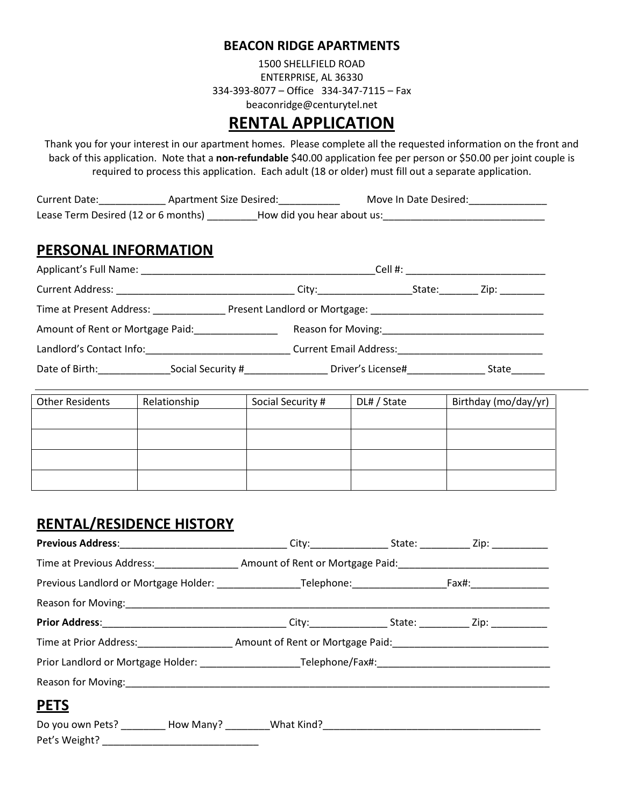#### **BEACON RIDGE APARTMENTS**

1500 SHELLFIELD ROAD ENTERPRISE, AL 36330 334-393-8077 – Office 334-347-7115 – Fax beaconridge@centurytel.net

# **RENTAL APPLICATION**

Thank you for your interest in our apartment homes. Please complete all the requested information on the front and back of this application. Note that a **non-refundable** \$40.00 application fee per person or \$50.00 per joint couple is required to process this application. Each adult (18 or older) must fill out a separate application.

| Current Date:                       | Apartment Size Desired:    | Move In Date Desired: |
|-------------------------------------|----------------------------|-----------------------|
| Lease Term Desired (12 or 6 months) | How did you hear about us: |                       |

### **PERSONAL INFORMATION**

| Applicant's Full Name: Applicant by The Manuscript Contract of the Manuscript Contract of the Manuscript Contract of the Manuscript Contract of the Manuscript Contract of the Manuscript Contract of the Manuscript Contract |                   | Cell #:                       |        |                |
|-------------------------------------------------------------------------------------------------------------------------------------------------------------------------------------------------------------------------------|-------------------|-------------------------------|--------|----------------|
| <b>Current Address:</b>                                                                                                                                                                                                       |                   | City:______________           | State: | Zip: _________ |
| Time at Present Address:                                                                                                                                                                                                      |                   |                               |        |                |
| Amount of Rent or Mortgage Paid:                                                                                                                                                                                              |                   | Reason for Moving:            |        |                |
| Landlord's Contact Info:                                                                                                                                                                                                      |                   | <b>Current Email Address:</b> |        |                |
| Date of Birth:                                                                                                                                                                                                                | Social Security # | Driver's License#             |        | State          |

| <b>Other Residents</b> | Relationship | Social Security # | DL# / State | Birthday (mo/day/yr) |
|------------------------|--------------|-------------------|-------------|----------------------|
|                        |              |                   |             |                      |
|                        |              |                   |             |                      |
|                        |              |                   |             |                      |
|                        |              |                   |             |                      |

## **RENTAL/RESIDENCE HISTORY**

| Time at Previous Address: _______________________ Amount of Rent or Mortgage Paid: ___________________________ |  |  |
|----------------------------------------------------------------------------------------------------------------|--|--|
|                                                                                                                |  |  |
|                                                                                                                |  |  |
|                                                                                                                |  |  |
| Time at Prior Address: __________________________ Amount of Rent or Mortgage Paid: ___________________________ |  |  |
|                                                                                                                |  |  |
|                                                                                                                |  |  |
| <b>PETS</b>                                                                                                    |  |  |
|                                                                                                                |  |  |